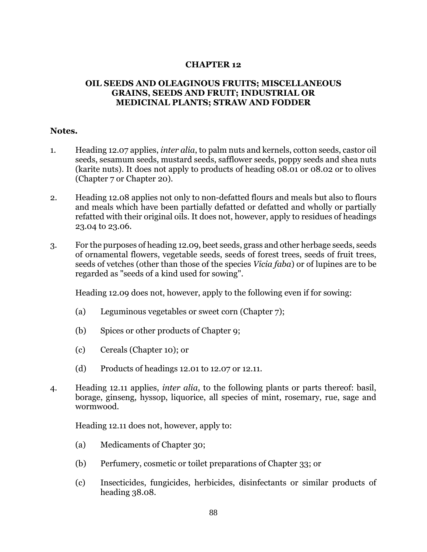## **CHAPTER 12**

## **OIL SEEDS AND OLEAGINOUS FRUITS; MISCELLANEOUS GRAINS, SEEDS AND FRUIT; INDUSTRIAL OR MEDICINAL PLANTS; STRAW AND FODDER**

## **Notes.**

- 1. Heading 12.07 applies, *inter alia*, to palm nuts and kernels, cotton seeds, castor oil seeds, sesamum seeds, mustard seeds, safflower seeds, poppy seeds and shea nuts (karite nuts). It does not apply to products of heading 08.01 or 08.02 or to olives (Chapter 7 or Chapter 20).
- 2. Heading 12.08 applies not only to non-defatted flours and meals but also to flours and meals which have been partially defatted or defatted and wholly or partially refatted with their original oils. It does not, however, apply to residues of headings 23.04 to 23.06.
- 3. For the purposes of heading 12.09, beet seeds, grass and other herbage seeds, seeds of ornamental flowers, vegetable seeds, seeds of forest trees, seeds of fruit trees, seeds of vetches (other than those of the species *Vicia faba*) or of lupines are to be regarded as "seeds of a kind used for sowing".

Heading 12.09 does not, however, apply to the following even if for sowing:

- (a) Leguminous vegetables or sweet corn (Chapter 7);
- (b) Spices or other products of Chapter 9;
- (c) Cereals (Chapter 10); or
- (d) Products of headings 12.01 to 12.07 or 12.11.
- 4. Heading 12.11 applies, *inter alia*, to the following plants or parts thereof: basil, borage, ginseng, hyssop, liquorice, all species of mint, rosemary, rue, sage and wormwood.

Heading 12.11 does not, however, apply to:

- (a) Medicaments of Chapter 30;
- (b) Perfumery, cosmetic or toilet preparations of Chapter 33; or
- (c) Insecticides, fungicides, herbicides, disinfectants or similar products of heading 38.08.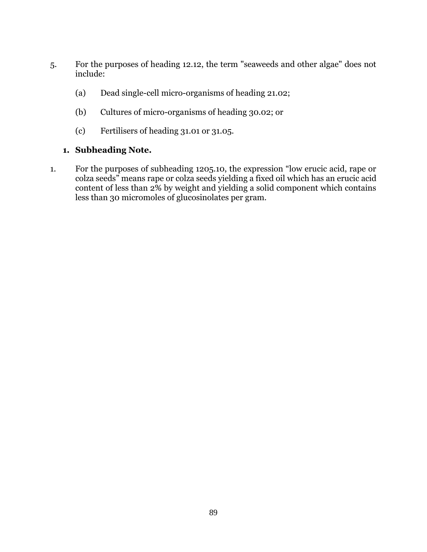- 5. For the purposes of heading 12.12, the term "seaweeds and other algae" does not include:
	- (a) Dead single-cell micro-organisms of heading 21.02;
	- (b) Cultures of micro-organisms of heading 30.02; or
	- (c) Fertilisers of heading 31.01 or 31.05.

## **1. Subheading Note.**

1. For the purposes of subheading 1205.10, the expression "low erucic acid, rape or colza seeds" means rape or colza seeds yielding a fixed oil which has an erucic acid content of less than 2% by weight and yielding a solid component which contains less than 30 micromoles of glucosinolates per gram.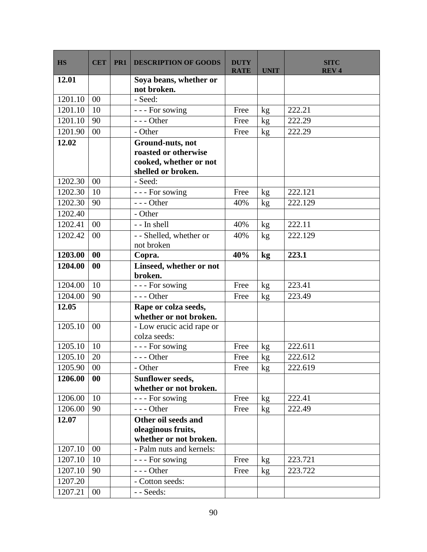| <b>HS</b> | <b>CET</b> | PR <sub>1</sub> | <b>DESCRIPTION OF GOODS</b>                                                              | <b>DUTY</b><br><b>RATE</b> | <b>UNIT</b>   | <b>SITC</b><br><b>REV4</b> |
|-----------|------------|-----------------|------------------------------------------------------------------------------------------|----------------------------|---------------|----------------------------|
| 12.01     |            |                 | Soya beans, whether or<br>not broken.                                                    |                            |               |                            |
| 1201.10   | 00         |                 | - Seed:                                                                                  |                            |               |                            |
| 1201.10   | 10         |                 | --- For sowing                                                                           | Free                       | $\mathrm{kg}$ | 222.21                     |
| 1201.10   | 90         |                 | $--$ Other                                                                               | Free                       | kg            | 222.29                     |
| 1201.90   | 00         |                 | - Other                                                                                  | Free                       | kg            | 222.29                     |
| 12.02     |            |                 | Ground-nuts, not<br>roasted or otherwise<br>cooked, whether or not<br>shelled or broken. |                            |               |                            |
| 1202.30   | 00         |                 | - Seed:                                                                                  |                            |               |                            |
| 1202.30   | 10         |                 | --- For sowing                                                                           | Free                       | kg            | 222.121                    |
| 1202.30   | 90         |                 | $--$ Other                                                                               | 40%                        | kg            | 222.129                    |
| 1202.40   |            |                 | - Other                                                                                  |                            |               |                            |
| 1202.41   | 00         |                 | - - In shell                                                                             | 40%                        | kg            | 222.11                     |
| 1202.42   | 00         |                 | - - Shelled, whether or<br>not broken                                                    | 40%                        | kg            | 222.129                    |
| 1203.00   | 00         |                 | Copra.                                                                                   | 40%                        | kg            | 223.1                      |
| 1204.00   | 00         |                 | Linseed, whether or not<br>broken.                                                       |                            |               |                            |
| 1204.00   | 10         |                 | --- For sowing                                                                           | Free                       | kg            | 223.41                     |
| 1204.00   | 90         |                 | $--$ Other                                                                               | Free                       | kg            | 223.49                     |
| 12.05     |            |                 | Rape or colza seeds,<br>whether or not broken.                                           |                            |               |                            |
| 1205.10   | 00         |                 | - Low erucic acid rape or<br>colza seeds:                                                |                            |               |                            |
| 1205.10   | 10         |                 | --- For sowing                                                                           | Free                       | $\rm kg$      | 222.611                    |
| 1205.10   | 20         |                 | $--$ Other                                                                               | Free                       | kg            | 222.612                    |
| 1205.90   | 00         |                 | - Other                                                                                  | Free                       | kg            | 222.619                    |
| 1206.00   | 00         |                 | <b>Sunflower seeds,</b><br>whether or not broken.                                        |                            |               |                            |
| 1206.00   | 10         |                 | --- For sowing                                                                           | Free                       | kg            | 222.41                     |
| 1206.00   | 90         |                 | $--$ Other                                                                               | Free                       | kg            | 222.49                     |
| 12.07     |            |                 | Other oil seeds and                                                                      |                            |               |                            |
|           |            |                 | oleaginous fruits,<br>whether or not broken.                                             |                            |               |                            |
| 1207.10   | 00         |                 | - Palm nuts and kernels:                                                                 |                            |               |                            |
| 1207.10   | 10         |                 | --- For sowing                                                                           | Free                       | kg            | 223.721                    |
| 1207.10   | 90         |                 | $--$ Other                                                                               | Free                       | kg            | 223.722                    |
| 1207.20   |            |                 | - Cotton seeds:                                                                          |                            |               |                            |
| 1207.21   | 00         |                 | - - Seeds:                                                                               |                            |               |                            |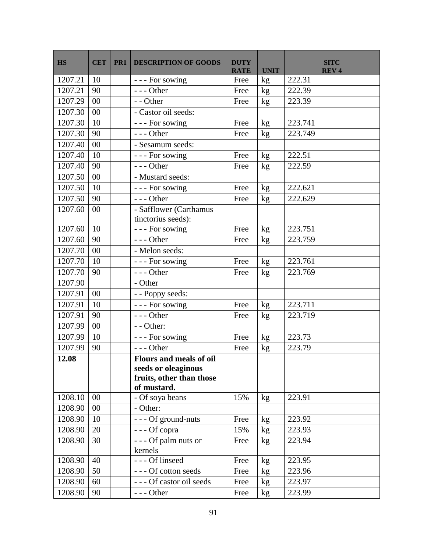| <b>HS</b> | <b>CET</b> | PR1 | <b>DESCRIPTION OF GOODS</b>                  | <b>DUTY</b><br><b>RATE</b> | <b>UNIT</b> | <b>SITC</b><br><b>REV4</b> |
|-----------|------------|-----|----------------------------------------------|----------------------------|-------------|----------------------------|
| 1207.21   | 10         |     | --- For sowing                               | Free                       | kg          | 222.31                     |
| 1207.21   | 90         |     | $--$ Other                                   | Free                       | kg          | 222.39                     |
| 1207.29   | 00         |     | - - Other                                    | Free                       | kg          | 223.39                     |
| 1207.30   | 00         |     | - Castor oil seeds:                          |                            |             |                            |
| 1207.30   | 10         |     | --- For sowing                               | Free                       | kg          | 223.741                    |
| 1207.30   | 90         |     | $--$ Other                                   | Free                       | kg          | 223.749                    |
| 1207.40   | 00         |     | - Sesamum seeds:                             |                            |             |                            |
| 1207.40   | 10         |     | --- For sowing                               | Free                       | kg          | 222.51                     |
| 1207.40   | 90         |     | $--$ Other                                   | Free                       | kg          | 222.59                     |
| 1207.50   | 00         |     | - Mustard seeds:                             |                            |             |                            |
| 1207.50   | 10         |     | --- For sowing                               | Free                       | kg          | 222.621                    |
| 1207.50   | 90         |     | $--$ Other                                   | Free                       | kg          | 222.629                    |
| 1207.60   | 00         |     | - Safflower (Carthamus<br>tinctorius seeds): |                            |             |                            |
| 1207.60   | 10         |     | --- For sowing                               | Free                       | kg          | 223.751                    |
| 1207.60   | 90         |     | $--$ Other                                   | Free                       | kg          | 223.759                    |
| 1207.70   | 00         |     | - Melon seeds:                               |                            |             |                            |
| 1207.70   | 10         |     | --- For sowing                               | Free                       | kg          | 223.761                    |
| 1207.70   | 90         |     | $--$ Other                                   | Free                       | kg          | 223.769                    |
| 1207.90   |            |     | - Other                                      |                            |             |                            |
| 1207.91   | 00         |     | - - Poppy seeds:                             |                            |             |                            |
| 1207.91   | 10         |     | --- For sowing                               | Free                       | kg          | 223.711                    |
| 1207.91   | 90         |     | $--$ Other                                   | Free                       | kg          | 223.719                    |
| 1207.99   | 00         |     | - - Other:                                   |                            |             |                            |
| 1207.99   | 10         |     | --- For sowing                               | Free                       | kg          | 223.73                     |
| 1207.99   | 90         |     | $--$ Other                                   | Free                       | kg          | 223.79                     |
| 12.08     |            |     | <b>Flours and meals of oil</b>               |                            |             |                            |
|           |            |     | seeds or oleaginous                          |                            |             |                            |
|           |            |     | fruits, other than those                     |                            |             |                            |
|           |            |     | of mustard.                                  |                            |             |                            |
| 1208.10   | 00         |     | - Of soya beans                              | 15%                        | kg          | 223.91                     |
| 1208.90   | 00         |     | - Other:                                     |                            |             |                            |
| 1208.90   | 10         |     | - - - Of ground-nuts                         | Free                       | $\rm kg$    | 223.92                     |
| 1208.90   | 20         |     | --- Of copra                                 | 15%                        | kg          | 223.93                     |
| 1208.90   | 30         |     | --- Of palm nuts or<br>kernels               | Free                       | kg          | 223.94                     |
| 1208.90   | 40         |     | - - - Of linseed                             | Free                       | kg          | 223.95                     |
| 1208.90   | 50         |     | --- Of cotton seeds                          | Free                       | kg          | 223.96                     |
| 1208.90   | 60         |     | --- Of castor oil seeds                      | Free                       | kg          | 223.97                     |
| 1208.90   | 90         |     | $--$ Other                                   | Free                       | kg          | 223.99                     |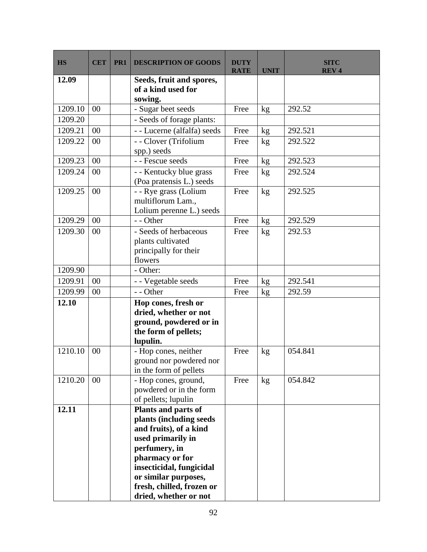| <b>HS</b> | <b>CET</b> | PR <sub>1</sub> | <b>DESCRIPTION OF GOODS</b>                                                                                                                                                                                                                 | <b>DUTY</b><br><b>RATE</b> | <b>UNIT</b> | <b>SITC</b><br><b>REV4</b> |
|-----------|------------|-----------------|---------------------------------------------------------------------------------------------------------------------------------------------------------------------------------------------------------------------------------------------|----------------------------|-------------|----------------------------|
| 12.09     |            |                 | Seeds, fruit and spores,<br>of a kind used for<br>sowing.                                                                                                                                                                                   |                            |             |                            |
| 1209.10   | 00         |                 | - Sugar beet seeds                                                                                                                                                                                                                          | Free                       | kg          | 292.52                     |
| 1209.20   |            |                 | - Seeds of forage plants:                                                                                                                                                                                                                   |                            |             |                            |
| 1209.21   | 00         |                 | - - Lucerne (alfalfa) seeds                                                                                                                                                                                                                 | Free                       | kg          | 292.521                    |
| 1209.22   | 00         |                 | - - Clover (Trifolium<br>spp.) seeds                                                                                                                                                                                                        | Free                       | kg          | 292.522                    |
| 1209.23   | 00         |                 | - - Fescue seeds                                                                                                                                                                                                                            | Free                       | kg          | 292.523                    |
| 1209.24   | 00         |                 | - - Kentucky blue grass<br>(Poa pratensis L.) seeds                                                                                                                                                                                         | Free                       | kg          | 292.524                    |
| 1209.25   | 00         |                 | - - Rye grass (Lolium<br>multiflorum Lam.,<br>Lolium perenne L.) seeds                                                                                                                                                                      | Free                       | kg          | 292.525                    |
| 1209.29   | 00         |                 | - - Other                                                                                                                                                                                                                                   | Free                       | kg          | 292.529                    |
| 1209.30   | 00         |                 | - Seeds of herbaceous<br>plants cultivated<br>principally for their<br>flowers                                                                                                                                                              | Free                       | kg          | 292.53                     |
| 1209.90   |            |                 | - Other:                                                                                                                                                                                                                                    |                            |             |                            |
| 1209.91   | 00         |                 | - - Vegetable seeds                                                                                                                                                                                                                         | Free                       | kg          | 292.541                    |
| 1209.99   | 00         |                 | - - Other                                                                                                                                                                                                                                   | Free                       | kg          | 292.59                     |
| 12.10     |            |                 | Hop cones, fresh or<br>dried, whether or not<br>ground, powdered or in<br>the form of pellets;<br>lupulin.                                                                                                                                  |                            |             |                            |
| 1210.10   | 00         |                 | - Hop cones, neither<br>ground nor powdered nor<br>in the form of pellets                                                                                                                                                                   | Free                       | kg          | 054.841                    |
| 1210.20   | 00         |                 | - Hop cones, ground,<br>powdered or in the form<br>of pellets; lupulin                                                                                                                                                                      | Free                       | kg          | 054.842                    |
| 12.11     |            |                 | Plants and parts of<br>plants (including seeds<br>and fruits), of a kind<br>used primarily in<br>perfumery, in<br>pharmacy or for<br>insecticidal, fungicidal<br>or similar purposes,<br>fresh, chilled, frozen or<br>dried, whether or not |                            |             |                            |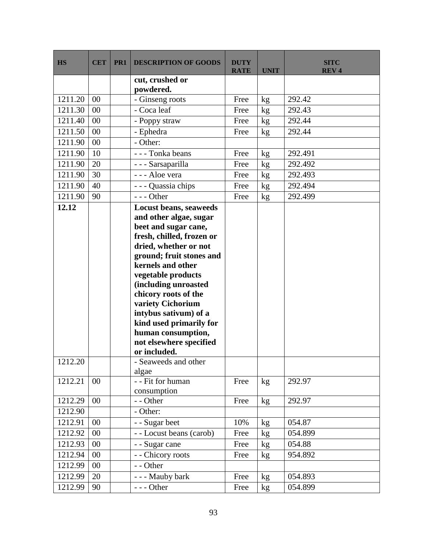| <b>HS</b> | <b>CET</b> | PR1 | <b>DESCRIPTION OF GOODS</b>               | <b>DUTY</b><br><b>RATE</b> | <b>UNIT</b>   | <b>SITC</b><br><b>REV4</b> |
|-----------|------------|-----|-------------------------------------------|----------------------------|---------------|----------------------------|
|           |            |     | cut, crushed or                           |                            |               |                            |
|           |            |     | powdered.                                 |                            |               |                            |
| 1211.20   | 00         |     | - Ginseng roots                           | Free                       | kg            | 292.42                     |
| 1211.30   | 00         |     | - Coca leaf                               | Free                       | $\mathrm{kg}$ | 292.43                     |
| 1211.40   | 00         |     | - Poppy straw                             | Free                       | kg            | 292.44                     |
| 1211.50   | 00         |     | - Ephedra                                 | Free                       | kg            | 292.44                     |
| 1211.90   | 00         |     | - Other:                                  |                            |               |                            |
| 1211.90   | 10         |     | --- Tonka beans                           | Free                       | kg            | 292.491                    |
| 1211.90   | 20         |     | - - - Sarsaparilla                        | Free                       | kg            | 292.492                    |
| 1211.90   | 30         |     | --- Aloe vera                             | Free                       | kg            | 292.493                    |
| 1211.90   | 40         |     | - Quassia chips                           | Free                       | kg            | 292.494                    |
| 1211.90   | 90         |     | $--$ Other                                | Free                       | kg            | 292.499                    |
| 12.12     |            |     | Locust beans, seaweeds                    |                            |               |                            |
|           |            |     | and other algae, sugar                    |                            |               |                            |
|           |            |     | beet and sugar cane,                      |                            |               |                            |
|           |            |     | fresh, chilled, frozen or                 |                            |               |                            |
|           |            |     | dried, whether or not                     |                            |               |                            |
|           |            |     | ground; fruit stones and                  |                            |               |                            |
|           |            |     | kernels and other                         |                            |               |                            |
|           |            |     | vegetable products                        |                            |               |                            |
|           |            |     | (including unroasted                      |                            |               |                            |
|           |            |     | chicory roots of the<br>variety Cichorium |                            |               |                            |
|           |            |     | intybus sativum) of a                     |                            |               |                            |
|           |            |     | kind used primarily for                   |                            |               |                            |
|           |            |     | human consumption,                        |                            |               |                            |
|           |            |     | not elsewhere specified                   |                            |               |                            |
|           |            |     | or included.                              |                            |               |                            |
| 1212.20   |            |     | - Seaweeds and other                      |                            |               |                            |
|           |            |     | algae                                     |                            |               |                            |
| 1212.21   | 00         |     | - - Fit for human                         | Free                       | kg            | 292.97                     |
|           |            |     | consumption                               |                            |               |                            |
| 1212.29   | 00         |     | - - Other                                 | Free                       | $\rm kg$      | 292.97                     |
| 1212.90   |            |     | - Other:                                  |                            |               |                            |
| 1212.91   | $00\,$     |     | - - Sugar beet                            | 10%                        | kg            | 054.87                     |
| 1212.92   | 00         |     | - - Locust beans (carob)                  | Free                       | kg            | 054.899                    |
| 1212.93   | 00         |     | - - Sugar cane                            | Free                       | kg            | 054.88                     |
| 1212.94   | 00         |     | - - Chicory roots                         | Free                       | kg            | 954.892                    |
| 1212.99   | 00         |     | - - Other                                 |                            |               |                            |
| 1212.99   | 20         |     | - - - Mauby bark                          | Free                       | kg            | 054.893                    |
| 1212.99   | 90         |     | $--$ Other                                | Free                       | kg            | 054.899                    |